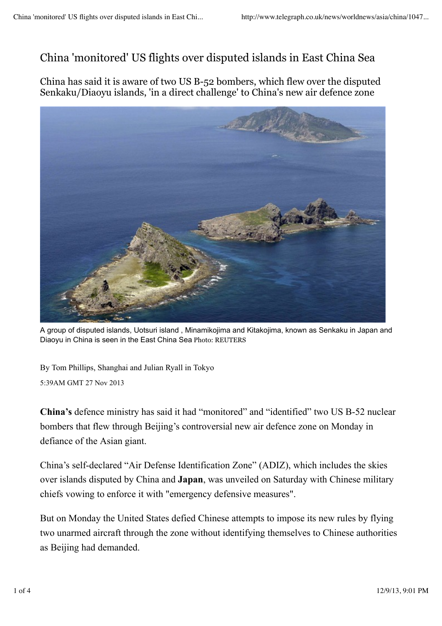## China 'monitored' US flights over disputed islands in East China Sea

China has said it is aware of two US B-52 bombers, which flew over the disputed Senkaku/Diaoyu islands, 'in a direct challenge' to China's new air defence zone



A group of disputed islands, Uotsuri island , Minamikojima and Kitakojima, known as Senkaku in Japan and Diaoyu in China is seen in the East China Sea Photo: REUTERS

By Tom Phillips, Shanghai and Julian Ryall in Tokyo

5:39AM GMT 27 Nov 2013

**China's** defence ministry has said it had "monitored" and "identified" two US B-52 nuclear bombers that flew through Beijing's controversial new air defence zone on Monday in defiance of the Asian giant.

China's self-declared "Air Defense Identification Zone" (ADIZ), which includes the skies over islands disputed by China and **Japan**, was unveiled on Saturday with Chinese military chiefs vowing to enforce it with "emergency defensive measures".

But on Monday the United States defied Chinese attempts to impose its new rules by flying two unarmed aircraft through the zone without identifying themselves to Chinese authorities as Beijing had demanded.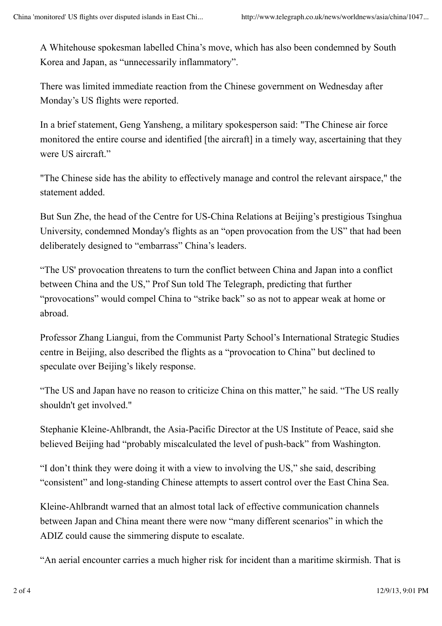A Whitehouse spokesman labelled China's move, which has also been condemned by South Korea and Japan, as "unnecessarily inflammatory".

There was limited immediate reaction from the Chinese government on Wednesday after Monday's US flights were reported.

In a brief statement, Geng Yansheng, a military spokesperson said: "The Chinese air force monitored the entire course and identified [the aircraft] in a timely way, ascertaining that they were US aircraft."

"The Chinese side has the ability to effectively manage and control the relevant airspace," the statement added.

But Sun Zhe, the head of the Centre for US-China Relations at Beijing's prestigious Tsinghua University, condemned Monday's flights as an "open provocation from the US" that had been deliberately designed to "embarrass" China's leaders.

"The US' provocation threatens to turn the conflict between China and Japan into a conflict between China and the US," Prof Sun told The Telegraph, predicting that further "provocations" would compel China to "strike back" so as not to appear weak at home or abroad.

Professor Zhang Liangui, from the Communist Party School's International Strategic Studies centre in Beijing, also described the flights as a "provocation to China" but declined to speculate over Beijing's likely response.

"The US and Japan have no reason to criticize China on this matter," he said. "The US really shouldn't get involved."

Stephanie Kleine-Ahlbrandt, the Asia-Pacific Director at the US Institute of Peace, said she believed Beijing had "probably miscalculated the level of push-back" from Washington.

"I don't think they were doing it with a view to involving the US," she said, describing "consistent" and long-standing Chinese attempts to assert control over the East China Sea.

Kleine-Ahlbrandt warned that an almost total lack of effective communication channels between Japan and China meant there were now "many different scenarios" in which the ADIZ could cause the simmering dispute to escalate.

"An aerial encounter carries a much higher risk for incident than a maritime skirmish. That is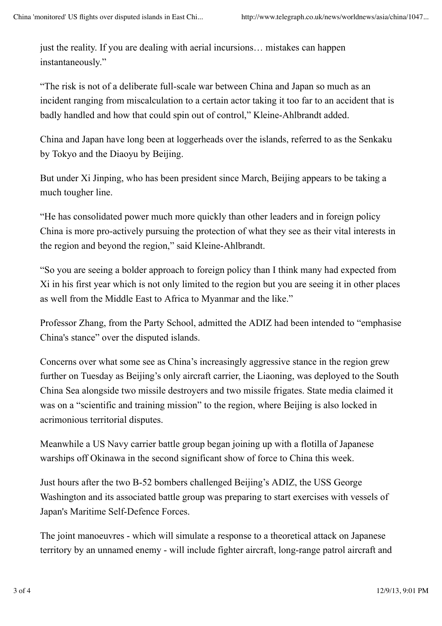just the reality. If you are dealing with aerial incursions... mistakes can happen instantaneously."

"The risk is not of a deliberate full-scale war between China and Japan so much as an incident ranging from miscalculation to a certain actor taking it too far to an accident that is badly handled and how that could spin out of control," Kleine-Ahlbrandt added.

China and Japan have long been at loggerheads over the islands, referred to as the Senkaku by Tokyo and the Diaoyu by Beijing.

But under Xi Jinping, who has been president since March, Beijing appears to be taking a much tougher line.

"He has consolidated power much more quickly than other leaders and in foreign policy China is more pro-actively pursuing the protection of what they see as their vital interests in the region and beyond the region," said Kleine-Ahlbrandt.

"So you are seeing a bolder approach to foreign policy than I think many had expected from Xi in his first year which is not only limited to the region but you are seeing it in other places as well from the Middle East to Africa to Myanmar and the like."

Professor Zhang, from the Party School, admitted the ADIZ had been intended to "emphasise China's stance" over the disputed islands.

Concerns over what some see as China's increasingly aggressive stance in the region grew further on Tuesday as Beijing's only aircraft carrier, the Liaoning, was deployed to the South China Sea alongside two missile destroyers and two missile frigates. State media claimed it was on a "scientific and training mission" to the region, where Beijing is also locked in acrimonious territorial disputes.

Meanwhile a US Navy carrier battle group began joining up with a flotilla of Japanese warships off Okinawa in the second significant show of force to China this week.

Just hours after the two B-52 bombers challenged Beijing's ADIZ, the USS George Washington and its associated battle group was preparing to start exercises with vessels of Japan's Maritime Self-Defence Forces.

The joint manoeuvres - which will simulate a response to a theoretical attack on Japanese territory by an unnamed enemy - will include fighter aircraft, long-range patrol aircraft and